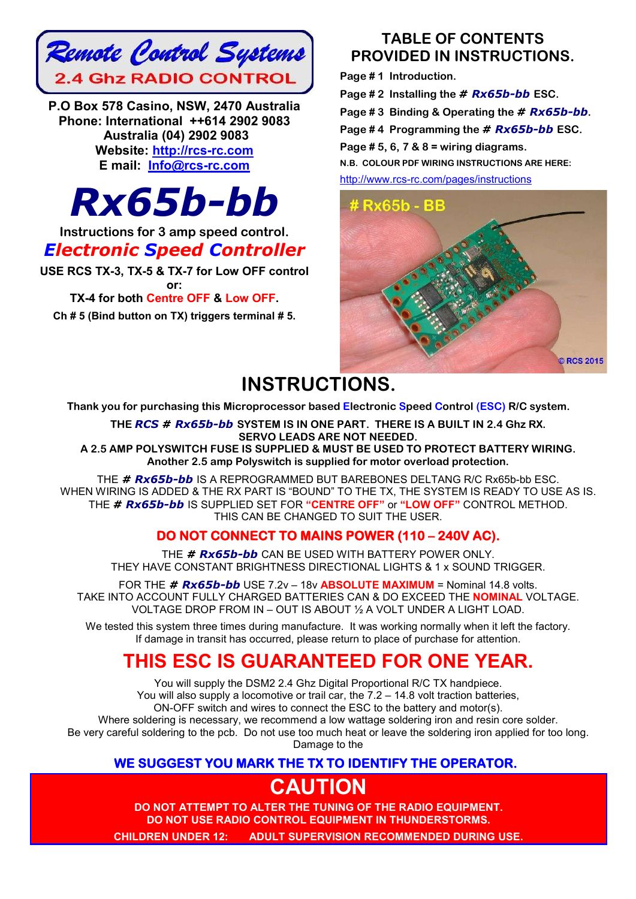

**P.O Box 578 Casino, NSW, 2470 Australia Phone: International ++614 2902 9083 Australia (04) 2902 9083 Website: http://rcs-rc.com E mail: Info@rcs-rc.com**



**Instructions for 3 amp speed control.**

## *Electronic Speed Controller*

**USE RCS TX-3, TX-5 & TX-7 for Low OFF control or:**

### **TX-4 for both Centre OFF & Low OFF.**

**Ch # 5 (Bind button on TX) triggers terminal # 5.**

## **TABLE OF CONTENTS PROVIDED IN INSTRUCTIONS.**

**Page # 1 Introduction. Page # 2 Installing the** *# Rx65b-bb* **ESC.**

**Page # 3 Binding & Operating the** *# Rx65b-bb***.**

**Page # 4 Programming the** *# Rx65b-bb* **ESC.**

**Page # 5, 6, 7 & 8 = wiring diagrams.**

**N.B. COLOUR PDF WIRING INSTRUCTIONS ARE HERE:**

http://www.rcs-rc.com/pages/instructions



# **INSTRUCTIONS.**

**Thank you for purchasing this Microprocessor based Electronic Speed Control (ESC) R/C system.**

**THE** *RCS # Rx65b-bb* **SYSTEM IS IN ONE PART. THERE IS A BUILT IN 2.4 Ghz RX. SERVO LEADS ARE NOT NEEDED. A 2.5 AMP POLYSWITCH FUSE IS SUPPLIED & MUST BE USED TO PROTECT BATTERY WIRING. Another 2.5 amp Polyswitch is supplied for motor overload protection.**

THE *# Rx65b-bb* IS A REPROGRAMMED BUT BAREBONES DELTANG R/C Rx65b-bb ESC. WHEN WIRING IS ADDED & THE RX PART IS "BOUND" TO THE TX, THE SYSTEM IS READY TO USE AS IS. THE *# Rx65b-bb* IS SUPPLIED SET FOR **"CENTRE OFF"** or **"LOW OFF"** CONTROL METHOD. THIS CAN BE CHANGED TO SUIT THE USER.

## **DO NOT CONNECT TO MAINS POWER (110 – 240V AC).**

THE *# Rx65b-bb* CAN BE USED WITH BATTERY POWER ONLY. THEY HAVE CONSTANT BRIGHTNESS DIRECTIONAL LIGHTS & 1 x SOUND TRIGGER.

FOR THE *# Rx65b-bb* USE 7.2v – 18v **ABSOLUTE MAXIMUM** = Nominal 14.8 volts. TAKE INTO ACCOUNT FULLY CHARGED BATTERIES CAN & DO EXCEED THE **NOMINAL** VOLTAGE. VOLTAGE DROP FROM IN – OUT IS ABOUT ½ A VOLT UNDER A LIGHT LOAD.

We tested this system three times during manufacture. It was working normally when it left the factory. If damage in transit has occurred, please return to place of purchase for attention.

# **THIS ESC IS GUARANTEED FOR ONE YEAR.**

You will supply the DSM2 2.4 Ghz Digital Proportional R/C TX handpiece. You will also supply a locomotive or trail car, the 7.2 – 14.8 volt traction batteries, ON-OFF switch and wires to connect the ESC to the battery and motor(s). Where soldering is necessary, we recommend a low wattage soldering iron and resin core solder. Be very careful soldering to the pcb. Do not use too much heat or leave the soldering iron applied for too long. Damage to the

### **WE SUGGEST YOU MARK THE TX TO IDENTIFY THE OPERATOR.**

# **CAUTION**

**DO NOT ATTEMPT TO ALTER THE TUNING OF THE RADIO EQUIPMENT. DO NOT USE RADIO CONTROL EQUIPMENT IN THUNDERSTORMS. CHILDREN UNDER 12: ADULT SUPERVISION RECOMMENDED DURING USE.**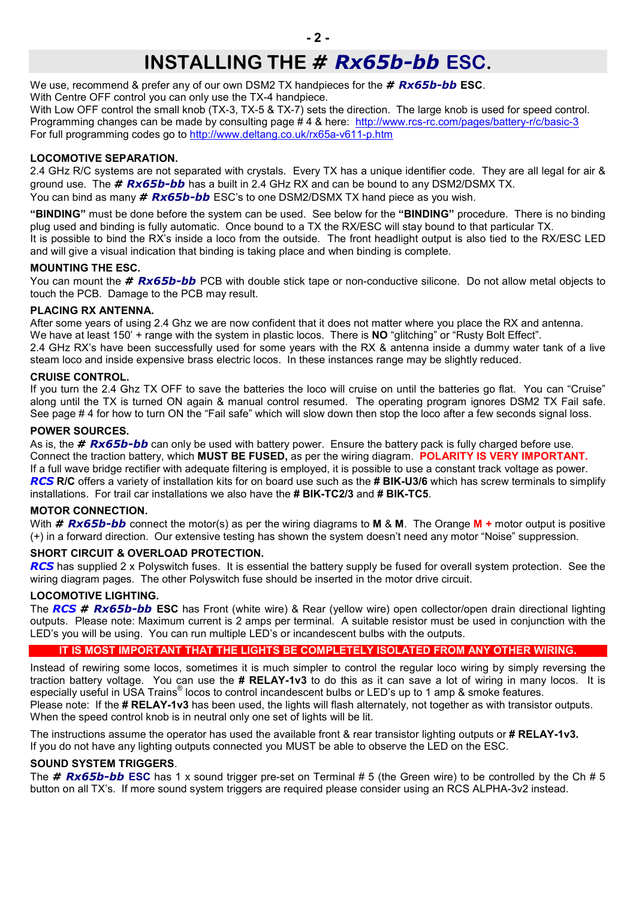## **INSTALLING THE** *# Rx65b-bb* **ESC.**

We use, recommend & prefer any of our own DSM2 TX handpieces for the *# Rx65b-bb* **ESC**. With Centre OFF control you can only use the TX-4 handpiece.

With Low OFF control the small knob (TX-3, TX-5 & TX-7) sets the direction. The large knob is used for speed control. Programming changes can be made by consulting page # 4 & here: http://www.rcs-rc.com/pages/battery-r/c/basic-3 For full programming codes go to http://www.deltang.co.uk/rx65a-v611-p.htm

#### **LOCOMOTIVE SEPARATION.**

2.4 GHz R/C systems are not separated with crystals. Every TX has a unique identifier code. They are all legal for air & ground use. The *# Rx65b-bb* has a built in 2.4 GHz RX and can be bound to any DSM2/DSMX TX. You can bind as many *# Rx65b-bb* ESC's to one DSM2/DSMX TX hand piece as you wish.

**"BINDING"** must be done before the system can be used. See below for the **"BINDING"** procedure. There is no binding plug used and binding is fully automatic. Once bound to a TX the RX/ESC will stay bound to that particular TX. It is possible to bind the RX's inside a loco from the outside. The front headlight output is also tied to the RX/ESC LED and will give a visual indication that binding is taking place and when binding is complete.

#### **MOUNTING THE ESC.**

You can mount the *# Rx65b-bb* PCB with double stick tape or non-conductive silicone. Do not allow metal objects to touch the PCB. Damage to the PCB may result.

#### **PLACING RX ANTENNA.**

After some years of using 2.4 Ghz we are now confident that it does not matter where you place the RX and antenna. We have at least 150' + range with the system in plastic locos. There is **NO** "glitching" or "Rusty Bolt Effect". 2.4 GHz RX's have been successfully used for some years with the RX & antenna inside a dummy water tank of a live

steam loco and inside expensive brass electric locos. In these instances range may be slightly reduced.

#### **CRUISE CONTROL.**

If you turn the 2.4 Ghz TX OFF to save the batteries the loco will cruise on until the batteries go flat. You can "Cruise" along until the TX is turned ON again & manual control resumed. The operating program ignores DSM2 TX Fail safe. See page # 4 for how to turn ON the "Fail safe" which will slow down then stop the loco after a few seconds signal loss.

#### **POWER SOURCES.**

As is, the *# Rx65b-bb* can only be used with battery power. Ensure the battery pack is fully charged before use. Connect the traction battery, which **MUST BE FUSED,** as per the wiring diagram. **POLARITY IS VERY IMPORTANT.** If a full wave bridge rectifier with adequate filtering is employed, it is possible to use a constant track voltage as power. *RCS* **R/C** offers a variety of installation kits for on board use such as the **# BIK-U3/6** which has screw terminals to simplify installations. For trail car installations we also have the **# BIK-TC2/3** and **# BIK-TC5**.

#### **MOTOR CONNECTION.**

With *# Rx65b-bb* connect the motor(s) as per the wiring diagrams to **M** & **M**. The Orange **M +** motor output is positive (+) in a forward direction. Our extensive testing has shown the system doesn't need any motor "Noise" suppression.

#### **SHORT CIRCUIT & OVERLOAD PROTECTION.**

*RCS* has supplied 2 x Polyswitch fuses. It is essential the battery supply be fused for overall system protection. See the wiring diagram pages. The other Polyswitch fuse should be inserted in the motor drive circuit.

#### **LOCOMOTIVE LIGHTING.**

The *RCS # Rx65b-bb* **ESC** has Front (white wire) & Rear (yellow wire) open collector/open drain directional lighting outputs. Please note: Maximum current is 2 amps per terminal. A suitable resistor must be used in conjunction with the LED's you will be using. You can run multiple LED's or incandescent bulbs with the outputs.

#### **IT IS MOST IMPORTANT THAT THE LIGHTS BE COMPLETELY ISOLATED FROM ANY OTHER WIRING.**

Instead of rewiring some locos, sometimes it is much simpler to control the regular loco wiring by simply reversing the traction battery voltage. You can use the **# RELAY-1v3** to do this as it can save a lot of wiring in many locos. It is especially useful in USA Trains<sup>®</sup> locos to control incandescent bulbs or LED's up to 1 amp & smoke features. Please note: If the **# RELAY-1v3** has been used, the lights will flash alternately, not together as with transistor outputs. When the speed control knob is in neutral only one set of lights will be lit.

The instructions assume the operator has used the available front & rear transistor lighting outputs or **# RELAY-1v3.** If you do not have any lighting outputs connected you MUST be able to observe the LED on the ESC.

#### **SOUND SYSTEM TRIGGERS**.

The *# Rx65b-bb* **ESC** has 1 x sound trigger pre-set on Terminal # 5 (the Green wire) to be controlled by the Ch # 5 button on all TX's. If more sound system triggers are required please consider using an RCS ALPHA-3v2 instead.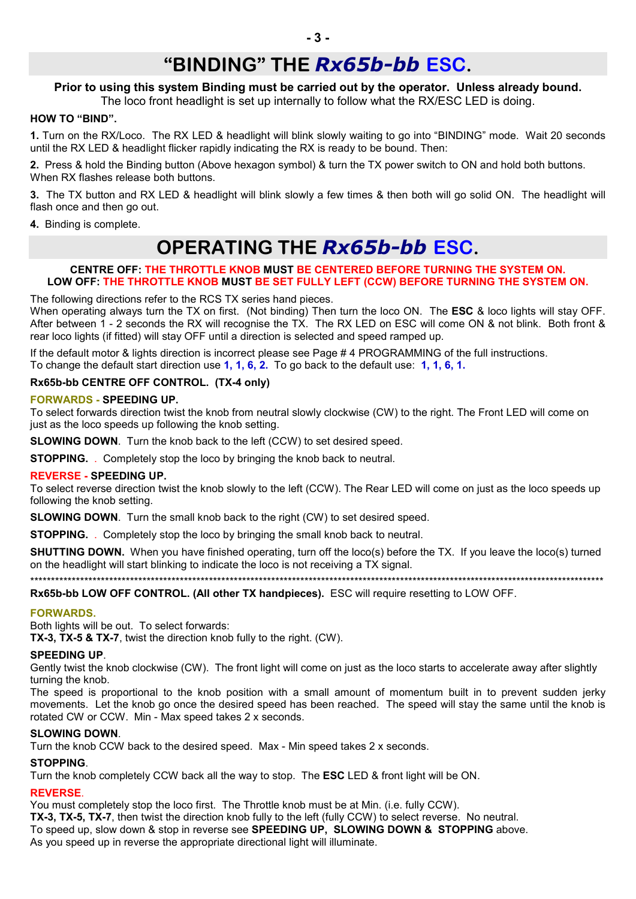## **"BINDING" THE** *Rx65b-bb* **ESC.**

#### **Prior to using this system Binding must be carried out by the operator. Unless already bound.**

The loco front headlight is set up internally to follow what the RX/ESC LED is doing.

#### **HOW TO "BIND".**

**1.** Turn on the RX/Loco. The RX LED & headlight will blink slowly waiting to go into "BINDING" mode. Wait 20 seconds until the RX LED & headlight flicker rapidly indicating the RX is ready to be bound. Then:

**2.** Press & hold the Binding button (Above hexagon symbol) & turn the TX power switch to ON and hold both buttons. When RX flashes release both buttons.

**3.** The TX button and RX LED & headlight will blink slowly a few times & then both will go solid ON. The headlight will flash once and then go out.

**4.** Binding is complete.

## **OPERATING THE** *Rx65b-bb* **ESC.**

#### **CENTRE OFF: THE THROTTLE KNOB MUST BE CENTERED BEFORE TURNING THE SYSTEM ON. LOW OFF: THE THROTTLE KNOB MUST BE SET FULLY LEFT (CCW) BEFORE TURNING THE SYSTEM ON.**

The following directions refer to the RCS TX series hand pieces.

When operating always turn the TX on first. (Not binding) Then turn the loco ON. The **ESC** & loco lights will stay OFF. After between 1 - 2 seconds the RX will recognise the TX. The RX LED on ESC will come ON & not blink. Both front & rear loco lights (if fitted) will stay OFF until a direction is selected and speed ramped up.

If the default motor & lights direction is incorrect please see Page # 4 PROGRAMMING of the full instructions. To change the default start direction use **1, 1, 6, 2.** To go back to the default use: **1, 1, 6, 1.**

#### **Rx65b-bb CENTRE OFF CONTROL. (TX-4 only)**

#### **FORWARDS - SPEEDING UP.**

To select forwards direction twist the knob from neutral slowly clockwise (CW) to the right. The Front LED will come on just as the loco speeds up following the knob setting.

**SLOWING DOWN**. Turn the knob back to the left (CCW) to set desired speed.

**STOPPING.** Completely stop the loco by bringing the knob back to neutral.

#### **REVERSE - SPEEDING UP.**

To select reverse direction twist the knob slowly to the left (CCW). The Rear LED will come on just as the loco speeds up following the knob setting.

**SLOWING DOWN**. Turn the small knob back to the right (CW) to set desired speed.

**STOPPING.** . Completely stop the loco by bringing the small knob back to neutral.

**SHUTTING DOWN.** When you have finished operating, turn off the loco(s) before the TX. If you leave the loco(s) turned on the headlight will start blinking to indicate the loco is not receiving a TX signal.

\*\*\*\*\*\*\*\*\*\*\*\*\*\*\*\*\*\*\*\*\*\*\*\*\*\*\*\*\*\*\*\*\*\*\*\*\*\*\*\*\*\*\*\*\*\*\*\*\*\*\*\*\*\*\*\*\*\*\*\*\*\*\*\*\*\*\*\*\*\*\*\*\*\*\*\*\*\*\*\*\*\*\*\*\*\*\*\*\*\*\*\*\*\*\*\*\*\*\*\*\*\*\*\*\*\*\*\*\*\*\*\*\*\*\*\*\*\*\*\*\*\*\*\*\*\*\*\*\*\*\*\*\*\*\*\*\*\*

**Rx65b-bb LOW OFF CONTROL. (All other TX handpieces).** ESC will require resetting to LOW OFF.

#### **FORWARDS.**

Both lights will be out. To select forwards:

**TX-3, TX-5 & TX-7**, twist the direction knob fully to the right. (CW).

#### **SPEEDING UP**.

Gently twist the knob clockwise (CW). The front light will come on just as the loco starts to accelerate away after slightly turning the knob.

The speed is proportional to the knob position with a small amount of momentum built in to prevent sudden jerky movements. Let the knob go once the desired speed has been reached. The speed will stay the same until the knob is rotated CW or CCW. Min - Max speed takes 2 x seconds.

#### **SLOWING DOWN**.

Turn the knob CCW back to the desired speed. Max - Min speed takes 2 x seconds.

#### **STOPPING**.

Turn the knob completely CCW back all the way to stop. The **ESC** LED & front light will be ON.

#### **REVERSE**.

You must completely stop the loco first. The Throttle knob must be at Min. (i.e. fully CCW). **TX-3, TX-5, TX-7**, then twist the direction knob fully to the left (fully CCW) to select reverse. No neutral. To speed up, slow down & stop in reverse see **SPEEDING UP, SLOWING DOWN & STOPPING** above. As you speed up in reverse the appropriate directional light will illuminate.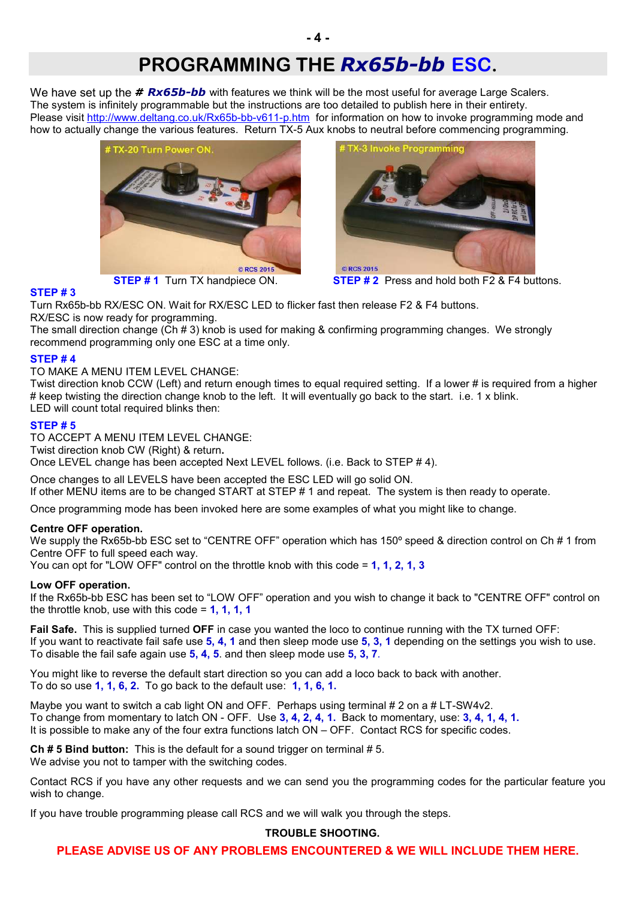We have set up the **# Rx65b-bb** with features we think will be the most useful for average Large Scalers. The system is infinitely programmable but the instructions are too detailed to publish here in their entirety. Please visit http://www.deltang.co.uk/Rx65b-bb-v611-p.htm for information on how to invoke programming mode and how to actually change the various features. Return TX-5 Aux knobs to neutral before commencing programming.



**STEP # 3**



**STEP # 1** Turn TX handpiece ON. **STEP # 2** Press and hold both F2 & F4 buttons.

Turn Rx65b-bb RX/ESC ON. Wait for RX/ESC LED to flicker fast then release F2 & F4 buttons. RX/ESC is now ready for programming.

The small direction change (Ch # 3) knob is used for making & confirming programming changes. We strongly recommend programming only one ESC at a time only.

I

#### **STEP # 4**

TO MAKE A MENU ITEM LEVEL CHANGE:

Twist direction knob CCW (Left) and return enough times to equal required setting. If a lower # is required from a higher # keep twisting the direction change knob to the left. It will eventually go back to the start. i.e. 1 x blink. LED will count total required blinks then:

#### **STEP # 5**

TO ACCEPT A MENU ITEM LEVEL CHANGE: Twist direction knob CW (Right) & return**.** Once LEVEL change has been accepted Next LEVEL follows. (i.e. Back to STEP # 4).

Once changes to all LEVELS have been accepted the ESC LED will go solid ON. If other MENU items are to be changed START at STEP # 1 and repeat. The system is then ready to operate.

Once programming mode has been invoked here are some examples of what you might like to change.

#### **Centre OFF operation.**

We supply the Rx65b-bb ESC set to "CENTRE OFF" operation which has 150° speed & direction control on Ch # 1 from Centre OFF to full speed each way.

You can opt for "LOW OFF" control on the throttle knob with this code = **1, 1, 2, 1, 3**

#### **Low OFF operation.**

If the Rx65b-bb ESC has been set to "LOW OFF" operation and you wish to change it back to "CENTRE OFF" control on the throttle knob, use with this code = **1, 1, 1, 1**

**Fail Safe.** This is supplied turned **OFF** in case you wanted the loco to continue running with the TX turned OFF: If you want to reactivate fail safe use **5, 4, 1** and then sleep mode use **5, 3, 1** depending on the settings you wish to use. To disable the fail safe again use **5, 4, 5**. and then sleep mode use **5, 3, 7**.

You might like to reverse the default start direction so you can add a loco back to back with another. To do so use **1, 1, 6, 2.** To go back to the default use: **1, 1, 6, 1.**

Maybe you want to switch a cab light ON and OFF. Perhaps using terminal # 2 on a # LT-SW4v2. To change from momentary to latch ON - OFF. Use **3, 4, 2, 4, 1.** Back to momentary, use: **3, 4, 1, 4, 1.** It is possible to make any of the four extra functions latch ON – OFF. Contact RCS for specific codes.

**Ch # 5 Bind button:** This is the default for a sound trigger on terminal # 5. We advise you not to tamper with the switching codes.

Contact RCS if you have any other requests and we can send you the programming codes for the particular feature you wish to change.

If you have trouble programming please call RCS and we will walk you through the steps.

#### **TROUBLE SHOOTING.**

**PLEASE ADVISE US OF ANY PROBLEMS ENCOUNTERED & WE WILL INCLUDE THEM HERE.**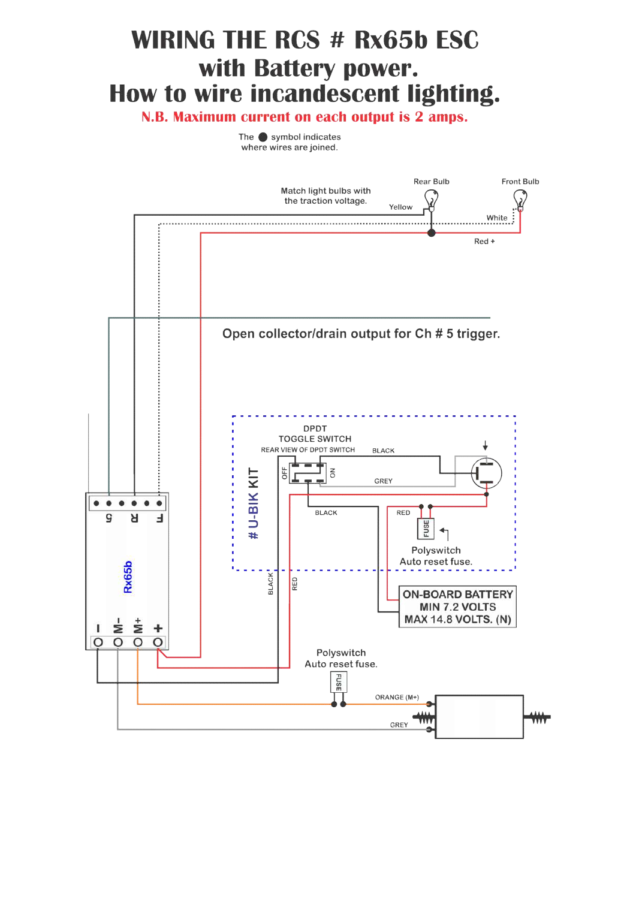# **WIRING THE RCS # Rx65b ESC** with Battery power. How to wire incandescent lighting.

N.B. Maximum current on each output is 2 amps.

The  $\bullet$  symbol indicates where wires are joined.

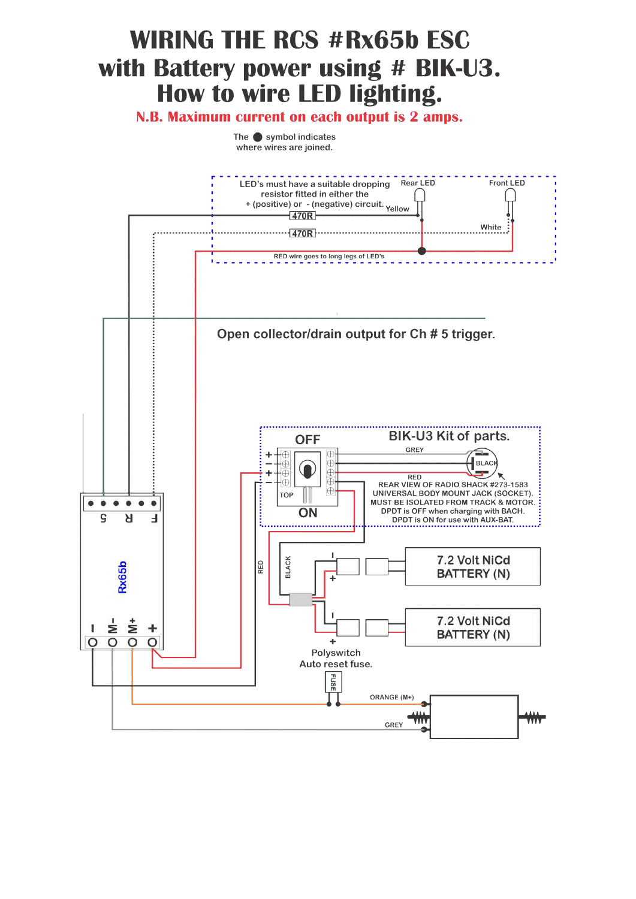# **WIRING THE RCS #Rx65b ESC** with Battery power using # BIK-U3. How to wire LED lighting.

N.B. Maximum current on each output is 2 amps.

The  $\bullet$  symbol indicates where wires are joined.

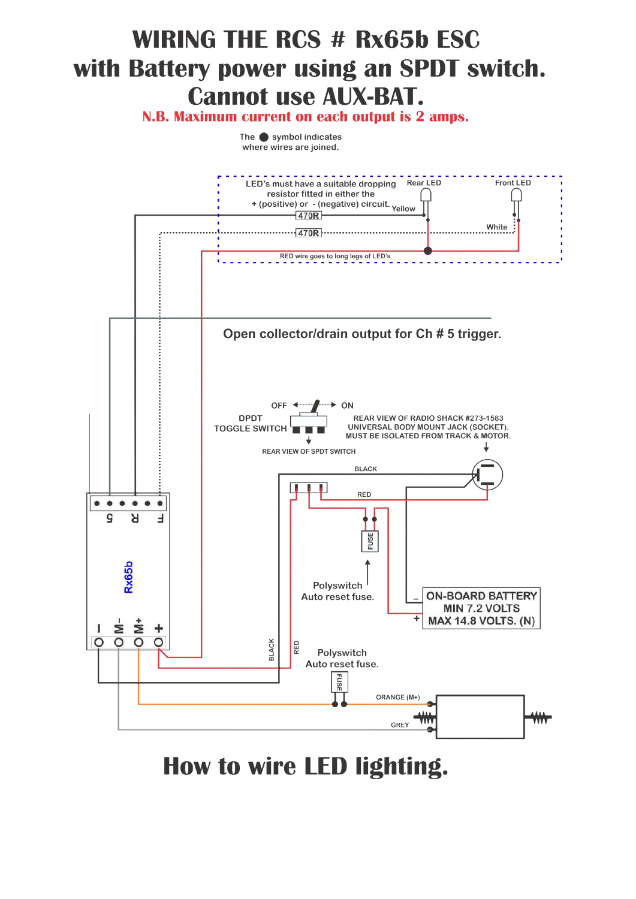# **WIRING THE RCS # Rx65b ESC** with Battery power using an SPDT switch. **Cannot use AUX-BAT.**

N.B. Maximum current on each output is 2 amps.

The  $\bullet$  symbol indicates where wires are joined.



How to wire LED lighting.